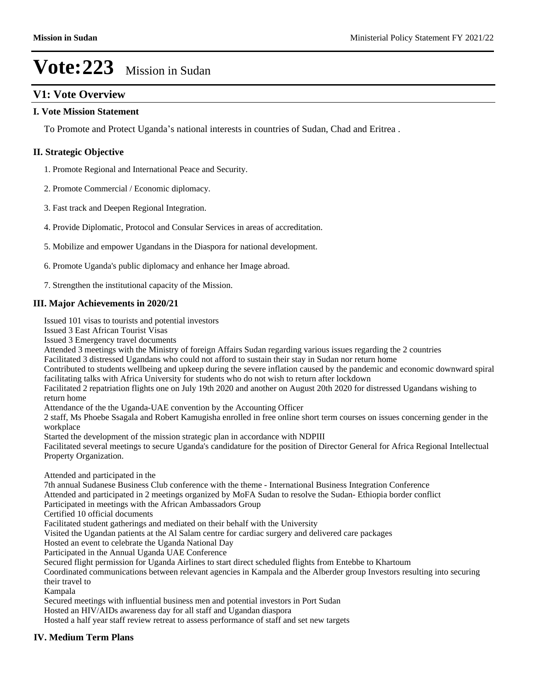# **V1: Vote Overview**

### **I. Vote Mission Statement**

To Promote and Protect Uganda's national interests in countries of Sudan, Chad and Eritrea .

### **II. Strategic Objective**

1. Promote Regional and International Peace and Security.

- 2. Promote Commercial / Economic diplomacy.
- 3. Fast track and Deepen Regional Integration.
- 4. Provide Diplomatic, Protocol and Consular Services in areas of accreditation.
- 5. Mobilize and empower Ugandans in the Diaspora for national development.
- 6. Promote Uganda's public diplomacy and enhance her Image abroad.

7. Strengthen the institutional capacity of the Mission.

### **III. Major Achievements in 2020/21**

Issued 101 visas to tourists and potential investors

Issued 3 East African Tourist Visas

Issued 3 Emergency travel documents

Attended 3 meetings with the Ministry of foreign Affairs Sudan regarding various issues regarding the 2 countries

Facilitated 3 distressed Ugandans who could not afford to sustain their stay in Sudan nor return home

Contributed to students wellbeing and upkeep during the severe inflation caused by the pandemic and economic downward spiral facilitating talks with Africa University for students who do not wish to return after lockdown

Facilitated 2 repatriation flights one on July 19th 2020 and another on August 20th 2020 for distressed Ugandans wishing to return home

Attendance of the the Uganda-UAE convention by the Accounting Officer

2 staff, Ms Phoebe Ssagala and Robert Kamugisha enrolled in free online short term courses on issues concerning gender in the workplace

Started the development of the mission strategic plan in accordance with NDPIII

Facilitated several meetings to secure Uganda's candidature for the position of Director General for Africa Regional Intellectual Property Organization.

Attended and participated in the

7th annual Sudanese Business Club conference with the theme - International Business Integration Conference

Attended and participated in 2 meetings organized by MoFA Sudan to resolve the Sudan- Ethiopia border conflict

Participated in meetings with the African Ambassadors Group

Certified 10 official documents

Facilitated student gatherings and mediated on their behalf with the University

Visited the Ugandan patients at the Al Salam centre for cardiac surgery and delivered care packages

Hosted an event to celebrate the Uganda National Day

Participated in the Annual Uganda UAE Conference

Secured flight permission for Uganda Airlines to start direct scheduled flights from Entebbe to Khartoum

Coordinated communications between relevant agencies in Kampala and the Alberder group Investors resulting into securing their travel to

Kampala

Secured meetings with influential business men and potential investors in Port Sudan

Hosted an HIV/AIDs awareness day for all staff and Ugandan diaspora

Hosted a half year staff review retreat to assess performance of staff and set new targets

### **IV. Medium Term Plans**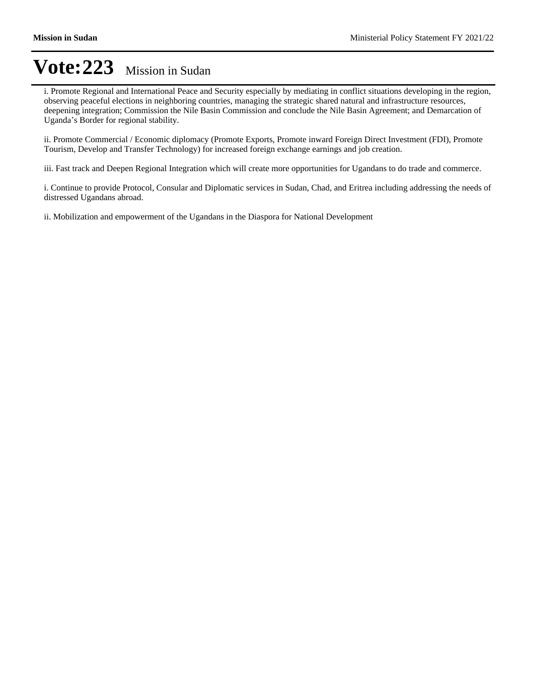i. Promote Regional and International Peace and Security especially by mediating in conflict situations developing in the region, observing peaceful elections in neighboring countries, managing the strategic shared natural and infrastructure resources, deepening integration; Commission the Nile Basin Commission and conclude the Nile Basin Agreement; and Demarcation of Uganda's Border for regional stability.

ii. Promote Commercial / Economic diplomacy (Promote Exports, Promote inward Foreign Direct Investment (FDI), Promote Tourism, Develop and Transfer Technology) for increased foreign exchange earnings and job creation.

iii. Fast track and Deepen Regional Integration which will create more opportunities for Ugandans to do trade and commerce.

i. Continue to provide Protocol, Consular and Diplomatic services in Sudan, Chad, and Eritrea including addressing the needs of distressed Ugandans abroad.

ii. Mobilization and empowerment of the Ugandans in the Diaspora for National Development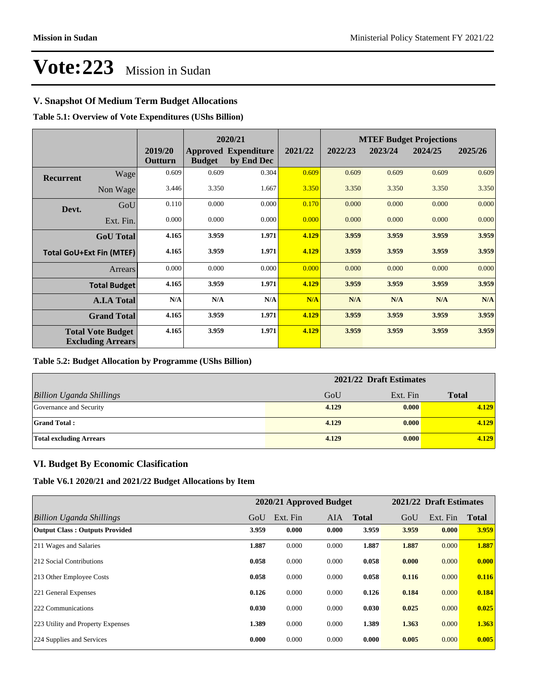# **V. Snapshot Of Medium Term Budget Allocations**

**Table 5.1: Overview of Vote Expenditures (UShs Billion)**

|                                                      |                    |                    | 2020/21       |                                           |         | <b>MTEF Budget Projections</b> |         |         |         |
|------------------------------------------------------|--------------------|--------------------|---------------|-------------------------------------------|---------|--------------------------------|---------|---------|---------|
|                                                      |                    | 2019/20<br>Outturn | <b>Budget</b> | <b>Approved Expenditure</b><br>by End Dec | 2021/22 | 2022/23                        | 2023/24 | 2024/25 | 2025/26 |
| <b>Recurrent</b>                                     | Wage               | 0.609              | 0.609         | 0.304                                     | 0.609   | 0.609                          | 0.609   | 0.609   | 0.609   |
|                                                      | Non Wage           | 3.446              | 3.350         | 1.667                                     | 3.350   | 3.350                          | 3.350   | 3.350   | 3.350   |
| Devt.                                                | GoU                | 0.110              | 0.000         | 0.000                                     | 0.170   | 0.000                          | 0.000   | 0.000   | 0.000   |
|                                                      | Ext. Fin.          | 0.000              | 0.000         | 0.000                                     | 0.000   | 0.000                          | 0.000   | 0.000   | 0.000   |
|                                                      | <b>GoU</b> Total   | 4.165              | 3.959         | 1.971                                     | 4.129   | 3.959                          | 3.959   | 3.959   | 3.959   |
| <b>Total GoU+Ext Fin (MTEF)</b>                      |                    | 4.165              | 3.959         | 1.971                                     | 4.129   | 3.959                          | 3.959   | 3.959   | 3.959   |
|                                                      | <b>Arrears</b>     | 0.000              | 0.000         | 0.000                                     | 0.000   | 0.000                          | 0.000   | 0.000   | 0.000   |
| <b>Total Budget</b>                                  |                    | 4.165              | 3.959         | 1.971                                     | 4.129   | 3.959                          | 3.959   | 3.959   | 3.959   |
|                                                      | <b>A.I.A Total</b> | N/A                | N/A           | N/A                                       | N/A     | N/A                            | N/A     | N/A     | N/A     |
|                                                      | <b>Grand Total</b> | 4.165              | 3.959         | 1.971                                     | 4.129   | 3.959                          | 3.959   | 3.959   | 3.959   |
| <b>Total Vote Budget</b><br><b>Excluding Arrears</b> |                    | 4.165              | 3.959         | 1.971                                     | 4.129   | 3.959                          | 3.959   | 3.959   | 3.959   |

### **Table 5.2: Budget Allocation by Programme (UShs Billion)**

|                                 | 2021/22 Draft Estimates |          |              |  |  |
|---------------------------------|-------------------------|----------|--------------|--|--|
| <b>Billion Uganda Shillings</b> | GoU                     | Ext. Fin | <b>Total</b> |  |  |
| Governance and Security         | 4.129                   | 0.000    | 4.129        |  |  |
| <b>Grand Total:</b>             | 4.129                   | 0.000    | 4.129        |  |  |
| <b>Total excluding Arrears</b>  | 4.129                   | 0.000    | 4.129        |  |  |

## **VI. Budget By Economic Clasification**

**Table V6.1 2020/21 and 2021/22 Budget Allocations by Item**

|                                       |       | 2020/21 Approved Budget |       |              |       | 2021/22 Draft Estimates |              |
|---------------------------------------|-------|-------------------------|-------|--------------|-------|-------------------------|--------------|
| Billion Uganda Shillings              | GoU   | Ext. Fin                | AIA   | <b>Total</b> | GoU   | Ext. Fin                | <b>Total</b> |
| <b>Output Class: Outputs Provided</b> | 3.959 | 0.000                   | 0.000 | 3.959        | 3.959 | 0.000                   | 3.959        |
| 211 Wages and Salaries                | 1.887 | 0.000                   | 0.000 | 1.887        | 1.887 | 0.000                   | 1.887        |
| 212 Social Contributions              | 0.058 | 0.000                   | 0.000 | 0.058        | 0.000 | 0.000                   | 0.000        |
| 213 Other Employee Costs              | 0.058 | 0.000                   | 0.000 | 0.058        | 0.116 | 0.000                   | 0.116        |
| 221 General Expenses                  | 0.126 | 0.000                   | 0.000 | 0.126        | 0.184 | 0.000                   | 0.184        |
| 222 Communications                    | 0.030 | 0.000                   | 0.000 | 0.030        | 0.025 | 0.000                   | 0.025        |
| 223 Utility and Property Expenses     | 1.389 | 0.000                   | 0.000 | 1.389        | 1.363 | 0.000                   | 1.363        |
| 224 Supplies and Services             | 0.000 | 0.000                   | 0.000 | 0.000        | 0.005 | 0.000                   | 0.005        |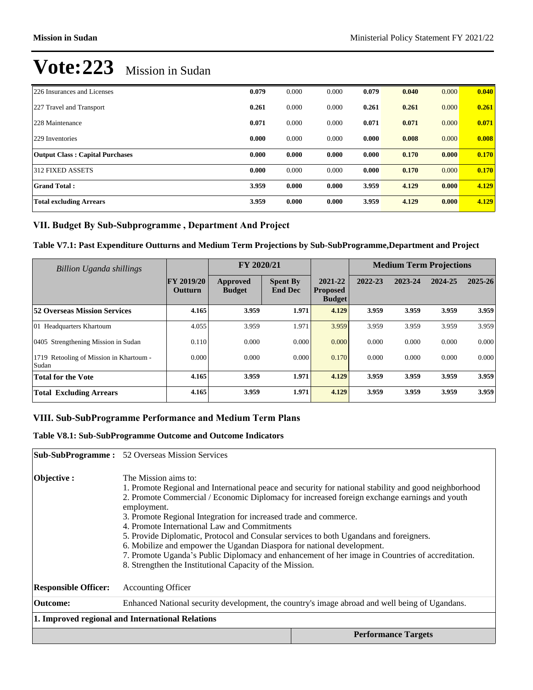| 226 Insurances and Licenses            | 0.079 | 0.000 | 0.000 | 0.079 | 0.040 | 0.000 | 0.040 |
|----------------------------------------|-------|-------|-------|-------|-------|-------|-------|
| 227 Travel and Transport               | 0.261 | 0.000 | 0.000 | 0.261 | 0.261 | 0.000 | 0.261 |
| 228 Maintenance                        | 0.071 | 0.000 | 0.000 | 0.071 | 0.071 | 0.000 | 0.071 |
| 229 Inventories                        | 0.000 | 0.000 | 0.000 | 0.000 | 0.008 | 0.000 | 0.008 |
| <b>Output Class: Capital Purchases</b> | 0.000 | 0.000 | 0.000 | 0.000 | 0.170 | 0.000 | 0.170 |
| 312 FIXED ASSETS                       | 0.000 | 0.000 | 0.000 | 0.000 | 0.170 | 0.000 | 0.170 |
| <b>Grand Total:</b>                    | 3.959 | 0.000 | 0.000 | 3.959 | 4.129 | 0.000 | 4.129 |
| <b>Total excluding Arrears</b>         | 3.959 | 0.000 | 0.000 | 3.959 | 4.129 | 0.000 | 4.129 |

## VII. Budget By Sub-Subprogramme, Department And Project

### **Table V7.1: Past Expenditure Outturns and Medium Term Projections by Sub-SubProgramme,Department and Project**

| Billion Uganda shillings                            |                              | FY 2020/21                |                                   |                                             |         | <b>Medium Term Projections</b> |         |         |
|-----------------------------------------------------|------------------------------|---------------------------|-----------------------------------|---------------------------------------------|---------|--------------------------------|---------|---------|
|                                                     | <b>FY 2019/20</b><br>Outturn | Approved<br><b>Budget</b> | <b>Spent By</b><br><b>End Dec</b> | 2021-22<br><b>Proposed</b><br><b>Budget</b> | 2022-23 | 2023-24                        | 2024-25 | 2025-26 |
| <b>52 Overseas Mission Services</b>                 | 4.165                        | 3.959                     | 1.971                             | 4.129                                       | 3.959   | 3.959                          | 3.959   | 3.959   |
| 01 Headquarters Khartoum                            | 4.055                        | 3.959                     | 1.971                             | 3.959                                       | 3.959   | 3.959                          | 3.959   | 3.959   |
| 0405 Strengthening Mission in Sudan                 | 0.110                        | 0.000                     | 0.000                             | 0.000                                       | 0.000   | 0.000                          | 0.000   | 0.000   |
| Retooling of Mission in Khartoum -<br>1719<br>Sudan | 0.000                        | 0.000                     | 0.000                             | 0.170                                       | 0.000   | 0.000                          | 0.000   | 0.000   |
| <b>Total for the Vote</b>                           | 4.165                        | 3.959                     | 1.971                             | 4.129                                       | 3.959   | 3.959                          | 3.959   | 3.959   |
| <b>Total Excluding Arrears</b>                      | 4.165                        | 3.959                     | 1.971                             | 4.129                                       | 3.959   | 3.959                          | 3.959   | 3.959   |

## **VIII. Sub-SubProgramme Performance and Medium Term Plans**

### **Table V8.1: Sub-SubProgramme Outcome and Outcome Indicators**

|                             | <b>Sub-SubProgramme:</b> 52 Overseas Mission Services                                                                                                                                                                                                                                                                                                                                                                                                                                                                                                                                                                                                                                                 |                                                                                                |  |  |  |
|-----------------------------|-------------------------------------------------------------------------------------------------------------------------------------------------------------------------------------------------------------------------------------------------------------------------------------------------------------------------------------------------------------------------------------------------------------------------------------------------------------------------------------------------------------------------------------------------------------------------------------------------------------------------------------------------------------------------------------------------------|------------------------------------------------------------------------------------------------|--|--|--|
| Objective:                  | The Mission aims to:<br>1. Promote Regional and International peace and security for national stability and good neighborhood<br>2. Promote Commercial / Economic Diplomacy for increased foreign exchange earnings and youth<br>employment.<br>3. Promote Regional Integration for increased trade and commerce.<br>4. Promote International Law and Commitments<br>5. Provide Diplomatic, Protocol and Consular services to both Ugandans and foreigners.<br>6. Mobilize and empower the Ugandan Diaspora for national development.<br>7. Promote Uganda's Public Diplomacy and enhancement of her image in Countries of accreditation.<br>8. Strengthen the Institutional Capacity of the Mission. |                                                                                                |  |  |  |
| <b>Responsible Officer:</b> | <b>Accounting Officer</b>                                                                                                                                                                                                                                                                                                                                                                                                                                                                                                                                                                                                                                                                             |                                                                                                |  |  |  |
| <b>Outcome:</b>             |                                                                                                                                                                                                                                                                                                                                                                                                                                                                                                                                                                                                                                                                                                       | Enhanced National security development, the country's image abroad and well being of Ugandans. |  |  |  |
|                             | 1. Improved regional and International Relations                                                                                                                                                                                                                                                                                                                                                                                                                                                                                                                                                                                                                                                      |                                                                                                |  |  |  |
|                             |                                                                                                                                                                                                                                                                                                                                                                                                                                                                                                                                                                                                                                                                                                       | <b>Performance Targets</b>                                                                     |  |  |  |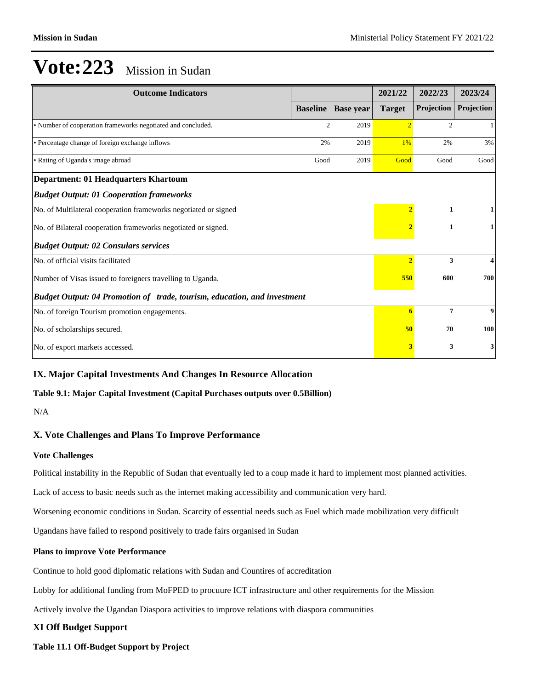| <b>Outcome Indicators</b>                                                |                 |                  | 2021/22        | 2022/23           | 2023/24    |
|--------------------------------------------------------------------------|-----------------|------------------|----------------|-------------------|------------|
|                                                                          | <b>Baseline</b> | <b>Base year</b> | <b>Target</b>  | <b>Projection</b> | Projection |
| • Number of cooperation frameworks negotiated and concluded.             | $\overline{c}$  | 2019             | $\overline{2}$ | $\overline{c}$    | 1          |
| • Percentage change of foreign exchange inflows                          | 2%              | 2019             | 1%             | 2%                | 3%         |
| • Rating of Uganda's image abroad                                        | Good            | 2019             | Good           | Good              | Good       |
| Department: 01 Headquarters Khartoum                                     |                 |                  |                |                   |            |
| <b>Budget Output: 01 Cooperation frameworks</b>                          |                 |                  |                |                   |            |
| No. of Multilateral cooperation frameworks negotiated or signed          |                 |                  |                | $\mathbf{1}$      |            |
| No. of Bilateral cooperation frameworks negotiated or signed.            |                 |                  | $\overline{2}$ | $\mathbf{1}$      |            |
| <b>Budget Output: 02 Consulars services</b>                              |                 |                  |                |                   |            |
| No. of official visits facilitated                                       |                 |                  | $\overline{2}$ | 3                 |            |
| Number of Visas issued to foreigners travelling to Uganda.               |                 | 550              | 600            | 700               |            |
| Budget Output: 04 Promotion of trade, tourism, education, and investment |                 |                  |                |                   |            |
| No. of foreign Tourism promotion engagements.                            |                 |                  | 6              | $\overline{7}$    | 9          |
| No. of scholarships secured.                                             |                 |                  | 50             | 70                | 100        |
| No. of export markets accessed.                                          |                 |                  | 3              | 3                 | 3          |

# **IX. Major Capital Investments And Changes In Resource Allocation**

### **Table 9.1: Major Capital Investment (Capital Purchases outputs over 0.5Billion)**

N/A

### **X. Vote Challenges and Plans To Improve Performance**

### **Vote Challenges**

Political instability in the Republic of Sudan that eventually led to a coup made it hard to implement most planned activities.

Lack of access to basic needs such as the internet making accessibility and communication very hard.

Worsening economic conditions in Sudan. Scarcity of essential needs such as Fuel which made mobilization very difficult

Ugandans have failed to respond positively to trade fairs organised in Sudan

### **Plans to improve Vote Performance**

Continue to hold good diplomatic relations with Sudan and Countires of accreditation

Lobby for additional funding from MoFPED to procuure ICT infrastructure and other requirements for the Mission

Actively involve the Ugandan Diaspora activities to improve relations with diaspora communities

# **XI Off Budget Support**

**Table 11.1 Off-Budget Support by Project**